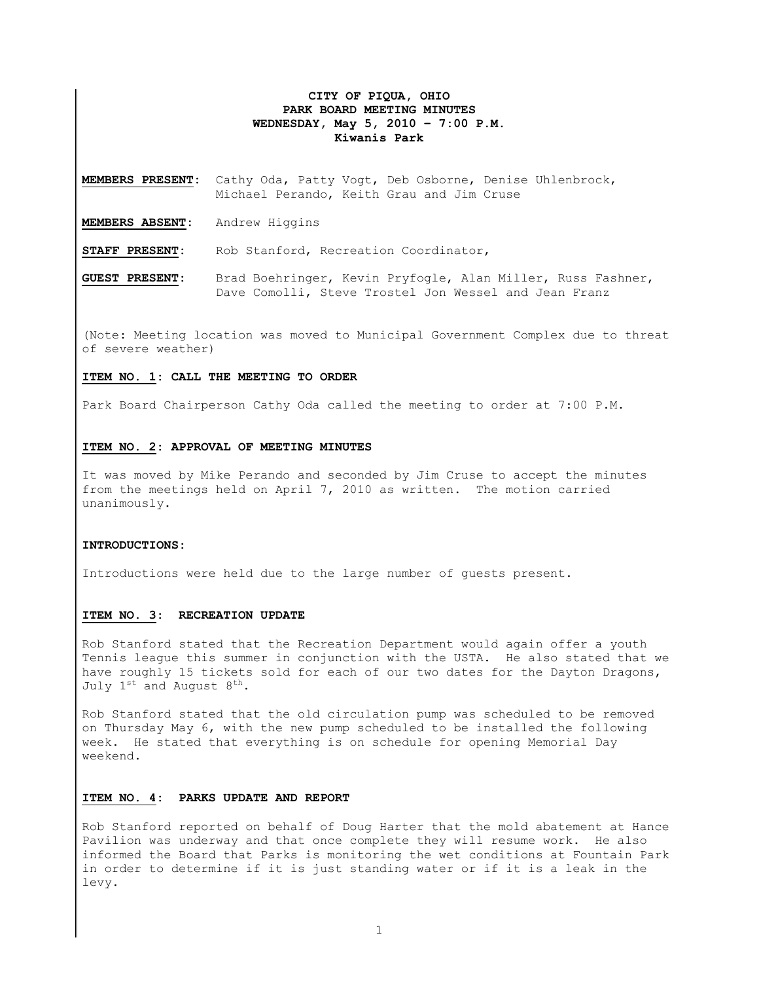# **CITY OF PIQUA, OHIO PARK BOARD MEETING MINUTES WEDNESDAY, May 5, 2010 – 7:00 P.M. Kiwanis Park**

**MEMBERS PRESENT:** Cathy Oda, Patty Vogt, Deb Osborne, Denise Uhlenbrock, Michael Perando, Keith Grau and Jim Cruse

**MEMBERS ABSENT:** Andrew Higgins

**STAFF PRESENT:** Rob Stanford, Recreation Coordinator,

**GUEST PRESENT:** Brad Boehringer, Kevin Pryfogle, Alan Miller, Russ Fashner, Dave Comolli, Steve Trostel Jon Wessel and Jean Franz

(Note: Meeting location was moved to Municipal Government Complex due to threat of severe weather)

#### **ITEM NO. 1: CALL THE MEETING TO ORDER**

Park Board Chairperson Cathy Oda called the meeting to order at 7:00 P.M.

## **ITEM NO. 2: APPROVAL OF MEETING MINUTES**

It was moved by Mike Perando and seconded by Jim Cruse to accept the minutes from the meetings held on April 7, 2010 as written. The motion carried unanimously.

#### **INTRODUCTIONS:**

Introductions were held due to the large number of guests present.

## **ITEM NO. 3: RECREATION UPDATE**

Rob Stanford stated that the Recreation Department would again offer a youth Tennis league this summer in conjunction with the USTA. He also stated that we have roughly 15 tickets sold for each of our two dates for the Dayton Dragons, July  $1^{st}$  and August  $8^{th}$ .

Rob Stanford stated that the old circulation pump was scheduled to be removed on Thursday May 6, with the new pump scheduled to be installed the following week. He stated that everything is on schedule for opening Memorial Day weekend.

## **ITEM NO. 4: PARKS UPDATE AND REPORT**

Rob Stanford reported on behalf of Doug Harter that the mold abatement at Hance Pavilion was underway and that once complete they will resume work. He also informed the Board that Parks is monitoring the wet conditions at Fountain Park in order to determine if it is just standing water or if it is a leak in the levy.